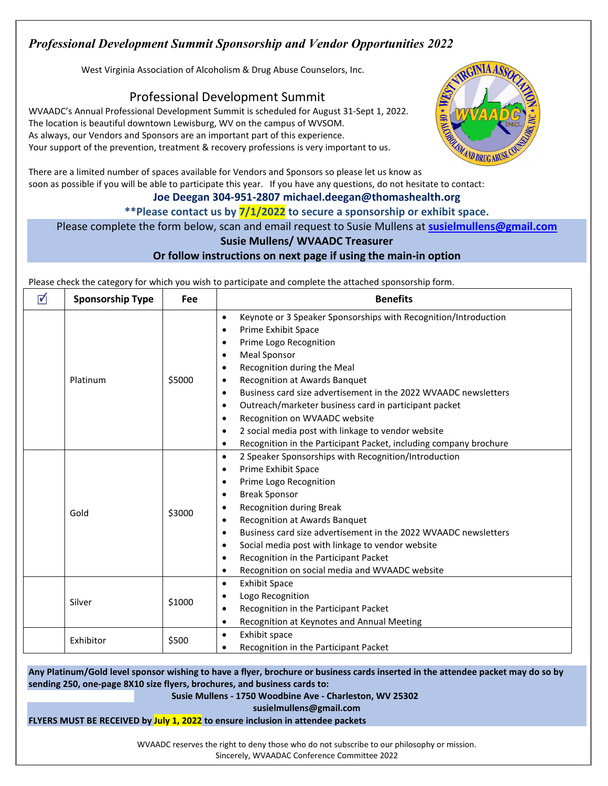# *Professional Development Summit Sponsorship and Vendor Opportunities 2022*

West Virginia Association of Alcoholism & Drug Abuse Counselors, Inc.

**Professional Development Summit** WYAADC's Annual Professional Development Summit is scheduled for August 31-Sept 1, 2022. The location is beautiful downtown Lewisburg, WV on the campus of WVSOM. As always, our Vendors and Sponsors are an important part of this experience. Your support of the prevention, treatment & recovery professions is very important to us.



There are a limited number of spaces available for Vendors and Sponsors so please let us know as soon as possible if you will be able to participate this year. If you have any questions, do not hesitate to contact:

### **Joe Deegan 304-951-2807 michael.deegan@thomashealth.org**

**\*\*Please contact us by 7/1/2022 to secure a sponsorship or exhibit space.** 

## Please complete the form below, scan and email request to Susie Mullens at **[susielmullens@gmail.com](mailto:susielmullens@gmail.com)**

## **Susie Mullens/ WVAADC Treasurer**

#### **Or follow instructions on next page if using the main-in option**

Please check the category for which you wish to participate and complete the attached sponsorship form.

| ☑ | <b>Sponsorship Type</b> | Fee    | <b>Benefits</b>                                                                                                                                                                                                                                                                                                                                                                                                                                                                                                                                                                                                                 |
|---|-------------------------|--------|---------------------------------------------------------------------------------------------------------------------------------------------------------------------------------------------------------------------------------------------------------------------------------------------------------------------------------------------------------------------------------------------------------------------------------------------------------------------------------------------------------------------------------------------------------------------------------------------------------------------------------|
|   | Platinum                | \$5000 | Keynote or 3 Speaker Sponsorships with Recognition/Introduction<br>$\bullet$<br>Prime Exhibit Space<br>$\bullet$<br>Prime Logo Recognition<br>$\bullet$<br><b>Meal Sponsor</b><br>$\bullet$<br>Recognition during the Meal<br>٠<br>Recognition at Awards Banquet<br>$\bullet$<br>Business card size advertisement in the 2022 WVAADC newsletters<br>$\bullet$<br>Outreach/marketer business card in participant packet<br>$\bullet$<br>Recognition on WVAADC website<br>$\bullet$<br>2 social media post with linkage to vendor website<br>$\bullet$                                                                            |
|   | Gold                    | \$3000 | Recognition in the Participant Packet, including company brochure<br>$\bullet$<br>2 Speaker Sponsorships with Recognition/Introduction<br>$\bullet$<br>Prime Exhibit Space<br>$\bullet$<br>Prime Logo Recognition<br>$\bullet$<br><b>Break Sponsor</b><br>$\bullet$<br><b>Recognition during Break</b><br>٠<br>Recognition at Awards Banquet<br>$\bullet$<br>Business card size advertisement in the 2022 WVAADC newsletters<br>$\bullet$<br>Social media post with linkage to vendor website<br>$\bullet$<br>Recognition in the Participant Packet<br>$\bullet$<br>Recognition on social media and WVAADC website<br>$\bullet$ |
|   | Silver                  | \$1000 | <b>Exhibit Space</b><br>$\bullet$<br>Logo Recognition<br>$\bullet$<br>Recognition in the Participant Packet<br>$\bullet$<br>Recognition at Keynotes and Annual Meeting<br>$\bullet$                                                                                                                                                                                                                                                                                                                                                                                                                                             |
|   | Exhibitor               | \$500  | Exhibit space<br>$\bullet$<br>Recognition in the Participant Packet<br>$\bullet$                                                                                                                                                                                                                                                                                                                                                                                                                                                                                                                                                |

**sending 250, one-page 8X10 size flyers, brochures, and business cards to:** 

#### **Susie Mullens - 1750 Woodbine Ave - Charleston, WV 25302**

**susielmullens@gmail.com**

**FLYERS MUST BE RECEIVED by July 1, 2022 to ensure inclusion in attendee packets** 

WVAADC reserves the right to deny those who do not subscribe to our philosophy or mission. Sincerely, WVAADAC Conference Committee 2022